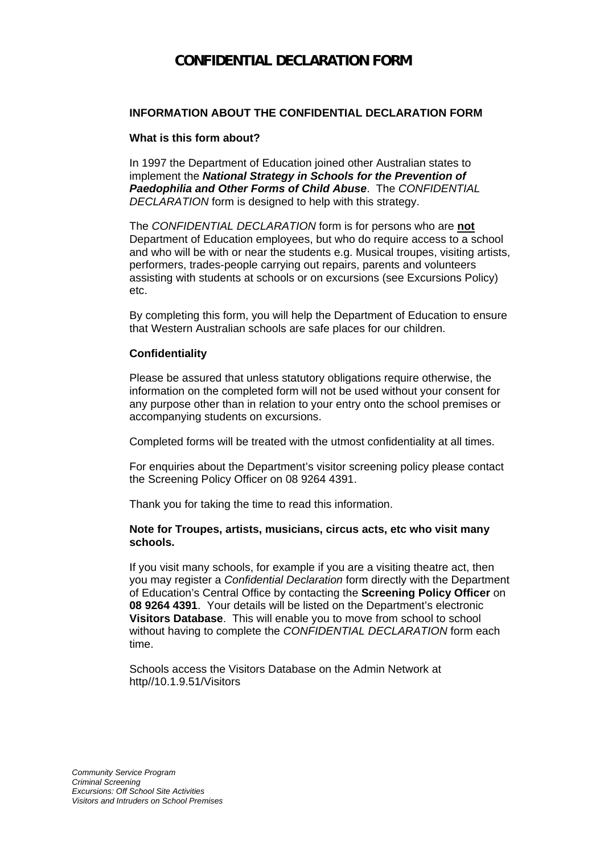## **CONFIDENTIAL DECLARATION FORM**

### **INFORMATION ABOUT THE CONFIDENTIAL DECLARATION FORM**

#### **What is this form about?**

In 1997 the Department of Education joined other Australian states to implement the *National Strategy in Schools for the Prevention of Paedophilia and Other Forms of Child Abuse*. The *CONFIDENTIAL DECLARATION* form is designed to help with this strategy.

The *CONFIDENTIAL DECLARATION* form is for persons who are **not** Department of Education employees, but who do require access to a school and who will be with or near the students e.g. Musical troupes, visiting artists, performers, trades-people carrying out repairs, parents and volunteers assisting with students at schools or on excursions (see Excursions Policy) etc.

By completing this form, you will help the Department of Education to ensure that Western Australian schools are safe places for our children.

#### **Confidentiality**

Please be assured that unless statutory obligations require otherwise, the information on the completed form will not be used without your consent for any purpose other than in relation to your entry onto the school premises or accompanying students on excursions.

Completed forms will be treated with the utmost confidentiality at all times.

For enquiries about the Department's visitor screening policy please contact the Screening Policy Officer on 08 9264 4391.

Thank you for taking the time to read this information.

#### **Note for Troupes, artists, musicians, circus acts, etc who visit many schools.**

If you visit many schools, for example if you are a visiting theatre act, then you may register a *Confidential Declaration* form directly with the Department of Education's Central Office by contacting the **Screening Policy Officer** on **08 9264 4391**. Your details will be listed on the Department's electronic **Visitors Database**. This will enable you to move from school to school without having to complete the *CONFIDENTIAL DECLARATION* form each time.

Schools access the Visitors Database on the Admin Network at http//10.1.9.51/Visitors